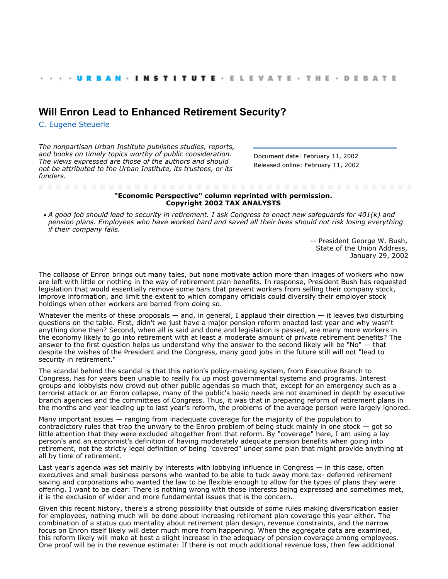## **[Will Enron Lead to Enhanced Retirement Security?](http://webarchive.urban.org/index.cfm)**

[C. Eugene Steuerle](http://www.urban.org/CEugeneSteuerle)

*The nonpartisan Urban Institute publishes studies, reports, and books on timely topics worthy of public consideration. The views expressed are those of the authors and should not be attributed to the Urban Institute, its trustees, or its funders.*

Document date: February 11, 2002 Released online: February 11, 2002

## **"Economic Perspective" column reprinted with permission. Copyright 2002 TAX ANALYSTS**

*A good job should lead to security in retirement. I ask Congress to enact new safeguards for 401(k) and pension plans. Employees who have worked hard and saved all their lives should not risk losing everything if their company fails.*

> -- President George W. Bush, State of the Union Address, January 29, 2002

The collapse of Enron brings out many tales, but none motivate action more than images of workers who now are left with little or nothing in the way of retirement plan benefits. In response, President Bush has requested legislation that would essentially remove some bars that prevent workers from selling their company stock, improve information, and limit the extent to which company officials could diversify their employer stock holdings when other workers are barred from doing so.

Whatever the merits of these proposals  $-$  and, in general, I applaud their direction  $-$  it leaves two disturbing questions on the table. First, didn't we just have a major pension reform enacted last year and why wasn't anything done then? Second, when all is said and done and legislation is passed, are many more workers in the economy likely to go into retirement with at least a moderate amount of private retirement benefits? The answer to the first question helps us understand why the answer to the second likely will be "No" — that despite the wishes of the President and the Congress, many good jobs in the future still will not "lead to security in retirement."

The scandal behind the scandal is that this nation's policy-making system, from Executive Branch to Congress, has for years been unable to really fix up most governmental systems and programs. Interest groups and lobbyists now crowd out other public agendas so much that, except for an emergency such as a terrorist attack or an Enron collapse, many of the public's basic needs are not examined in depth by executive branch agencies and the committees of Congress. Thus, it was that in preparing reform of retirement plans in the months and year leading up to last year's reform, the problems of the average person were largely ignored.

Many important issues — ranging from inadequate coverage for the majority of the population to contradictory rules that trap the unwary to the Enron problem of being stuck mainly in one stock — got so little attention that they were excluded altogether from that reform. By "coverage" here, I am using a lay person's and an economist's definition of having moderately adequate pension benefits when going into retirement, not the strictly legal definition of being "covered" under some plan that might provide anything at all by time of retirement.

Last year's agenda was set mainly by interests with lobbying influence in Congress — in this case, often executives and small business persons who wanted to be able to tuck away more tax- deferred retirement saving and corporations who wanted the law to be flexible enough to allow for the types of plans they were offering. I want to be clear: There is nothing wrong with those interests being expressed and sometimes met, it is the exclusion of wider and more fundamental issues that is the concern.

Given this recent history, there's a strong possibility that outside of some rules making diversification easier for employees, nothing much will be done about increasing retirement plan coverage this year either. The combination of a status quo mentality about retirement plan design, revenue constraints, and the narrow focus on Enron itself likely will deter much more from happening. When the aggregate data are examined, this reform likely will make at best a slight increase in the adequacy of pension coverage among employees. One proof will be in the revenue estimate: If there is not much additional revenue loss, then few additional